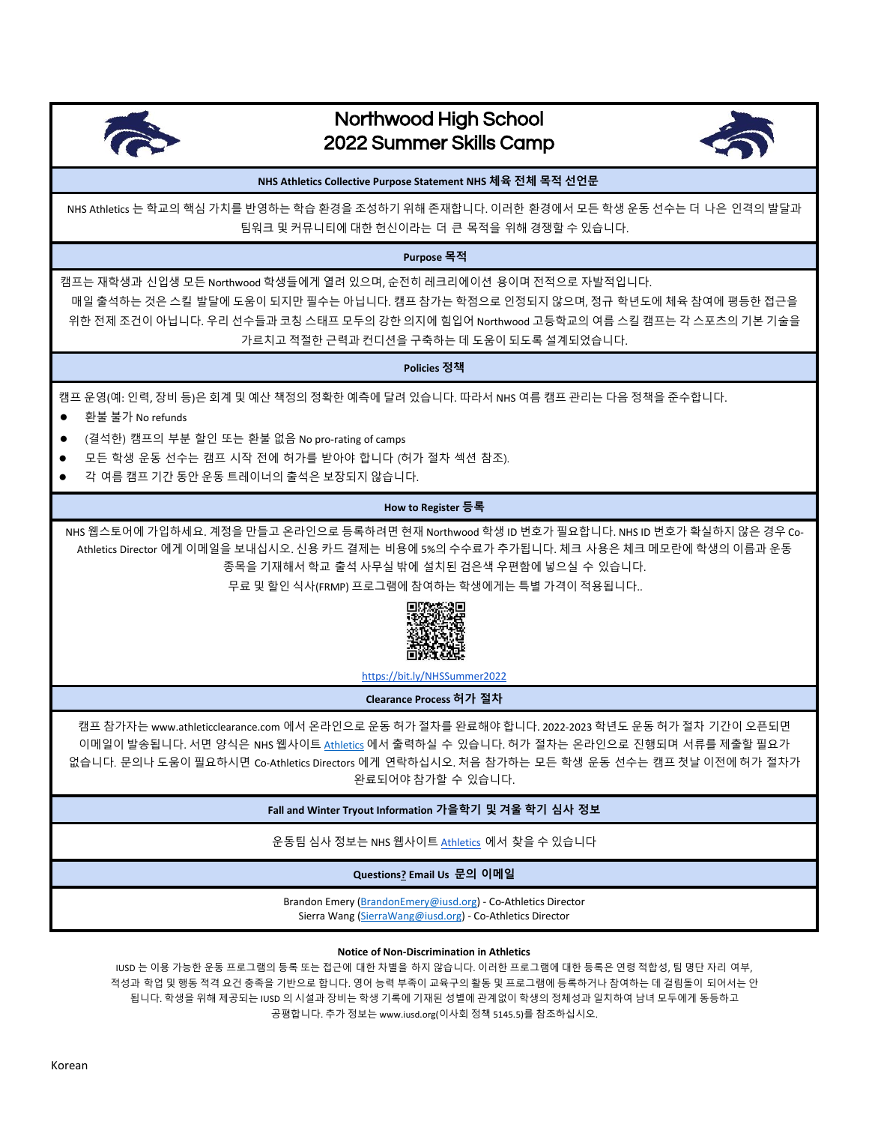

## Northwood High School 2022 Summer Skills Camp



**NHS Athletics Collective Purpose Statement NHS 체육 전체 목적 선언문**

NHS Athletics 는 학교의 핵심 가치를 반영하는 학습 환경을 조성하기 위해 존재합니다. 이러한 환경에서 모든 학생 운동 선수는 더 나은 인격의 발달과 팀워크 및 커뮤니티에 대한 헌신이라는 더 큰 목적을 위해 경쟁할 수 있습니다.

**Purpose 목적**

캠프는 재학생과 신입생 모든 Northwood 학생들에게 열려 있으며, 순전히 레크리에이션 용이며 전적으로 자발적입니다. 매일 출석하는 것은 스킬 발달에 도움이 되지만 필수는 아닙니다. 캠프 참가는 학점으로 인정되지 않으며, 정규 학년도에 체육 참여에 평등한 접근을 위한 전제 조건이 아닙니다. 우리 선수들과 코칭 스태프 모두의 강한 의지에 힘입어 Northwood 고등학교의 여름 스킬 캠프는 각 스포츠의 기본 기술을 가르치고 적절한 근력과 컨디션을 구축하는 데 도움이 되도록 설계되었습니다.

**Policies 정책**

캠프 운영(예: 인력, 장비 등)은 회계 및 예산 책정의 정확한 예측에 달려 있습니다. 따라서 NHS 여름 캠프 관리는 다음 정책을 준수합니다.

- 환불 불가 No refunds
- (결석한) 캠프의 부분 할인 또는 환불 없음 No pro-rating of camps
- 모든 학생 운동 선수는 캠프 시작 전에 허가를 받아야 합니다 (허가 절차 섹션 참조).
- 각 여름 캠프 기간 동안 운동 트레이너의 출석은 보장되지 않습니다.

## **How to Register 등록**

NHS 웹스토어에 가입하세요. 계정을 만들고 온라인으로 등록하려면 현재 Northwood 학생 ID 번호가 필요합니다. NHS ID 번호가 확실하지 않은 경우 Co-Athletics Director 에게 이메일을 보내십시오. 신용 카드 결제는 비용에 5%의 수수료가 추가됩니다. 체크 사용은 체크 메모란에 학생의 이름과 운동 종목을 기재해서 학교 출석 사무실 밖에 설치된 검은색 우편함에 넣으실 수 있습니다.

무료 및 할인 식사(FRMP) 프로그램에 참여하는 학생에게는 특별 가격이 적용됩니다..



<https://bit.ly/NHSSummer2022>

**Clearance Process 허가 절차**

캠프 참가자는 www.athleticclearance.com 에서 온라인으로 운동 허가 절차를 완료해야 합니다. 2022-2023 학년도 운동 허가 절차 기간이 오픈되면 이메일이 발송됩니다. 서면 양식은 NHS 웹사이트 [Athletics](https://northwoodhigh.iusd.org/sites/iusd.northwood.development-preview.com/files/documents/pdfs/nhs_physical_form.pdf) 에서 출력하실 수 있습니다. 허가 절차는 온라인으로 진행되며 서류를 제출할 필요가 없습니다. 문의나 도움이 필요하시면 Co-Athletics Directors 에게 연락하십시오. 처음 참가하는 모든 학생 운동 선수는 캠프 첫날 이전에 허가 절차가 완료되어야 참가할 수 있습니다.

**Fall and Winter Tryout Information 가을학기 및 겨울 학기 심사 정보**

운동팀 심사 정보는 NHS 웹사이트 [Athletics](https://northwoodhigh.iusd.org/department/athletics) 에서 찾을 수 있습니다

**Questions? Email Us 문의 이메일**

Brandon Emery [\(BrandonEmery@iusd.org\)](BrandonEmery@iusd.org) - Co-Athletics Director Sierra Wang [\(SierraWang@iusd.org\)](SierraWang@iusd.org) - Co-Athletics Director

**Notice of Non-Discrimination in Athletics**

IUSD 는 이용 가능한 운동 프로그램의 등록 또는 접근에 대한 차별을 하지 않습니다. 이러한 프로그램에 대한 등록은 연령 적합성, 팀 명단 자리 여부, 적성과 학업 및 행동 적격 요건 충족을 기반으로 합니다. 영어 능력 부족이 교육구의 활동 및 프로그램에 등록하거나 참여하는 데 걸림돌이 되어서는 안 됩니다. 학생을 위해 제공되는 IUSD 의 시설과 장비는 학생 기록에 기재된 성별에 관계없이 학생의 정체성과 일치하여 남녀 모두에게 동등하고 공평합니다. 추가 정보는 www.iusd.org(이사회 정책 5145.5)를 참조하십시오.